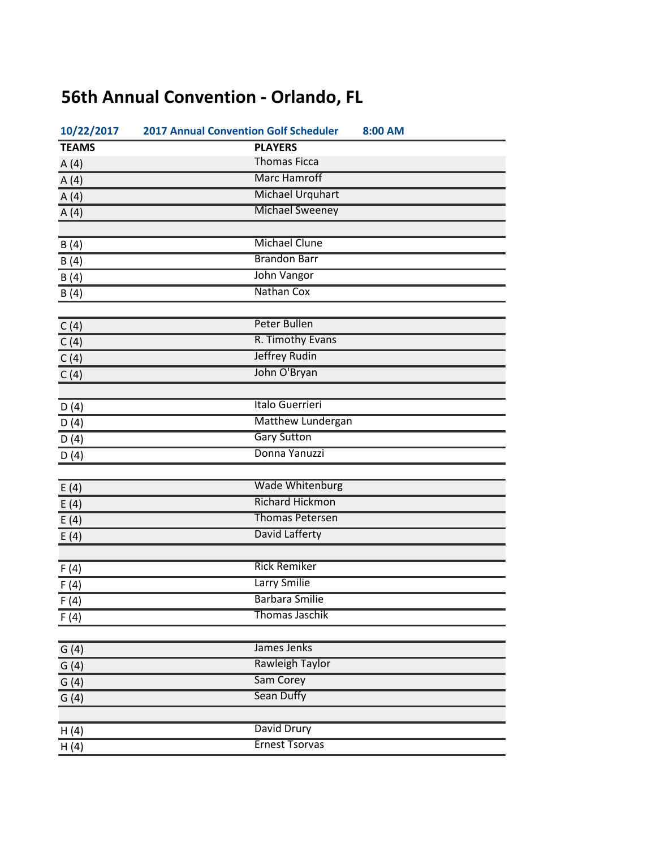## **56th Annual Convention - Orlando, FL**

| 10/22/2017   | <b>2017 Annual Convention Golf Scheduler</b> | 8:00 AM |
|--------------|----------------------------------------------|---------|
| <b>TEAMS</b> | <b>PLAYERS</b>                               |         |
| A(4)         | <b>Thomas Ficca</b>                          |         |
| A(4)         | <b>Marc Hamroff</b>                          |         |
| A(4)         | <b>Michael Urquhart</b>                      |         |
| A(4)         | <b>Michael Sweeney</b>                       |         |
|              |                                              |         |
| B(4)         | <b>Michael Clune</b>                         |         |
| B(4)         | <b>Brandon Barr</b>                          |         |
| B(4)         | <b>John Vangor</b>                           |         |
| B(4)         | Nathan Cox                                   |         |
|              |                                              |         |
| C(4)         | <b>Peter Bullen</b>                          |         |
| C(4)         | R. Timothy Evans                             |         |
| C(4)         | <b>Jeffrey Rudin</b>                         |         |
| C(4)         | John O'Bryan                                 |         |
|              |                                              |         |
| D(4)         | Italo Guerrieri                              |         |
| D(4)         | <b>Matthew Lundergan</b>                     |         |
| D(4)         | <b>Gary Sutton</b>                           |         |
| D(4)         | Donna Yanuzzi                                |         |
|              |                                              |         |
| E(4)         | <b>Wade Whitenburg</b>                       |         |
| E(4)         | <b>Richard Hickmon</b>                       |         |
| E(4)         | <b>Thomas Petersen</b>                       |         |
| E(4)         | David Lafferty                               |         |
|              |                                              |         |
| F(4)         | <b>Rick Remiker</b>                          |         |
| F(4)         | Larry Smilie                                 |         |
| F(4)         | <b>Barbara Smilie</b>                        |         |
| F(4)         | <b>Thomas Jaschik</b>                        |         |
|              |                                              |         |
| G(4)         | James Jenks                                  |         |
| G(4)         | <b>Rawleigh Taylor</b>                       |         |
| G(4)         | Sam Corey                                    |         |
| G(4)         | <b>Sean Duffy</b>                            |         |
|              |                                              |         |
| H(4)         | David Drury                                  |         |
| H(4)         | <b>Ernest Tsorvas</b>                        |         |
|              |                                              |         |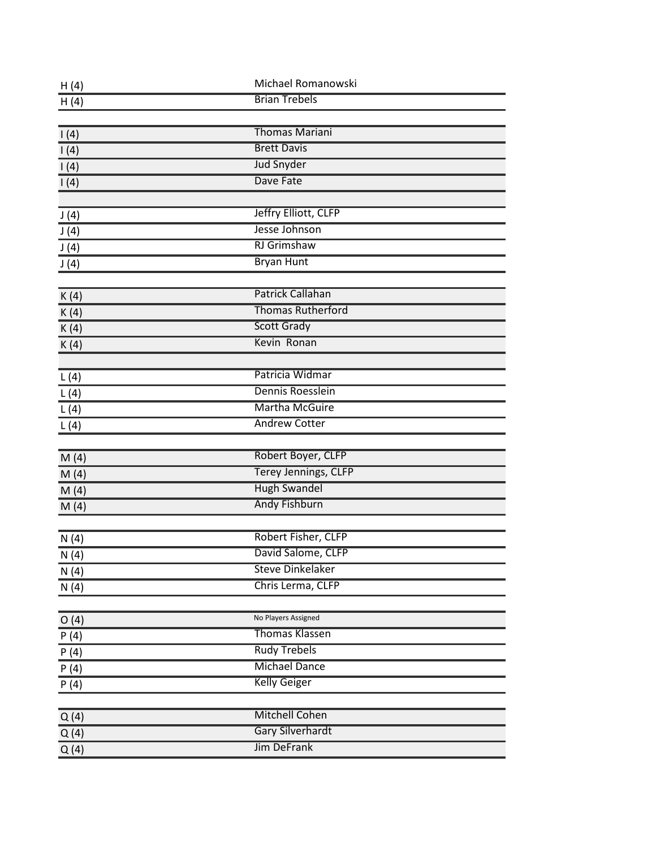| H(4)            | Michael Romanowski          |  |
|-----------------|-----------------------------|--|
| H(4)            | <b>Brian Trebels</b>        |  |
|                 |                             |  |
| 1(4)            | <b>Thomas Mariani</b>       |  |
| 1(4)            | <b>Brett Davis</b>          |  |
| 1(4)            | <b>Jud Snyder</b>           |  |
| $\mathsf{I}(4)$ | Dave Fate                   |  |
|                 |                             |  |
| J(4)            | Jeffry Elliott, CLFP        |  |
| J(4)            | Jesse Johnson               |  |
| J(4)            | <b>RJ</b> Grimshaw          |  |
| J(4)            | <b>Bryan Hunt</b>           |  |
|                 |                             |  |
| K(4)            | <b>Patrick Callahan</b>     |  |
| K(4)            | <b>Thomas Rutherford</b>    |  |
| K(4)            | <b>Scott Grady</b>          |  |
| K(4)            | Kevin Ronan                 |  |
|                 |                             |  |
| L(4)            | Patricia Widmar             |  |
| L(4)            | Dennis Roesslein            |  |
| L(4)            | <b>Martha McGuire</b>       |  |
| L(4)            | <b>Andrew Cotter</b>        |  |
|                 |                             |  |
| M(4)            | Robert Boyer, CLFP          |  |
| M(4)            | <b>Terey Jennings, CLFP</b> |  |
| M(4)            | <b>Hugh Swandel</b>         |  |
| M(4)            | <b>Andy Fishburn</b>        |  |
|                 |                             |  |
| N(4)            | Robert Fisher, CLFP         |  |
| N(4)            | David Salome, CLFP          |  |
| N(4)            | <b>Steve Dinkelaker</b>     |  |
| N(4)            | Chris Lerma, CLFP           |  |
|                 |                             |  |
| O(4)            | No Players Assigned         |  |
| P(4)            | <b>Thomas Klassen</b>       |  |
| P(4)            | <b>Rudy Trebels</b>         |  |
| P(4)            | <b>Michael Dance</b>        |  |
| P(4)            | <b>Kelly Geiger</b>         |  |
|                 |                             |  |
| Q(4)            | <b>Mitchell Cohen</b>       |  |
| Q(4)            | <b>Gary Silverhardt</b>     |  |
| Q(4)            | <b>Jim DeFrank</b>          |  |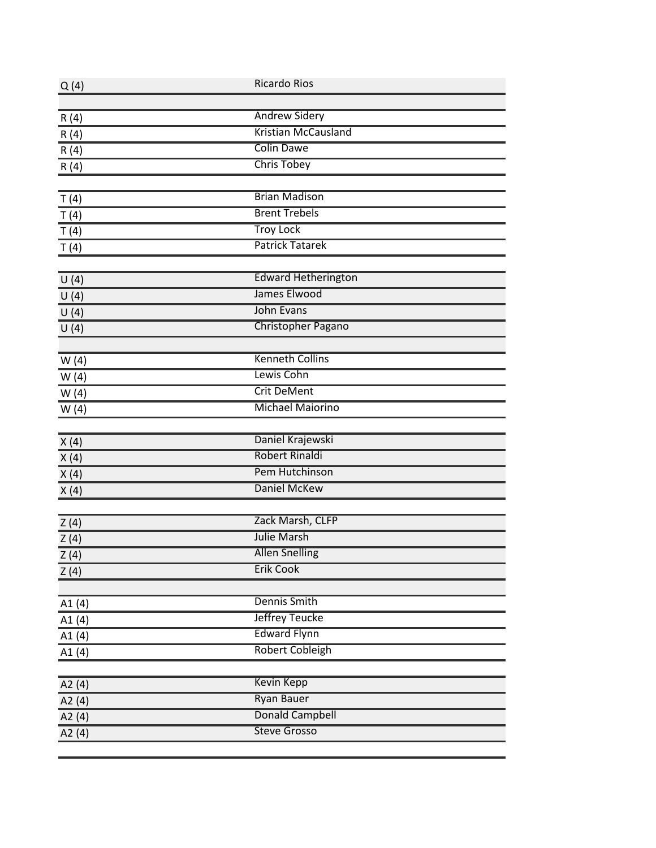| Q(4)     | <b>Ricardo Rios</b>        |  |
|----------|----------------------------|--|
|          |                            |  |
| R(4)     | <b>Andrew Sidery</b>       |  |
| R(4)     | <b>Kristian McCausland</b> |  |
| R(4)     | <b>Colin Dawe</b>          |  |
| R(4)     | <b>Chris Tobey</b>         |  |
|          |                            |  |
| T(4)     | <b>Brian Madison</b>       |  |
| T(4)     | <b>Brent Trebels</b>       |  |
| T(4)     | <b>Troy Lock</b>           |  |
| T(4)     | <b>Patrick Tatarek</b>     |  |
|          |                            |  |
| U(4)     | <b>Edward Hetherington</b> |  |
| U(4)     | James Elwood               |  |
| U(4)     | <b>John Evans</b>          |  |
| U(4)     | <b>Christopher Pagano</b>  |  |
|          |                            |  |
| W(4)     | <b>Kenneth Collins</b>     |  |
| W(4)     | Lewis Cohn                 |  |
| W(4)     | <b>Crit DeMent</b>         |  |
| W(4)     | <b>Michael Maiorino</b>    |  |
|          |                            |  |
| X(4)     | Daniel Krajewski           |  |
| X(4)     | <b>Robert Rinaldi</b>      |  |
| X(4)     | <b>Pem Hutchinson</b>      |  |
| X(4)     | <b>Daniel McKew</b>        |  |
|          |                            |  |
| Z(4)     | Zack Marsh, CLFP           |  |
| Z(4)     | <b>Julie Marsh</b>         |  |
| Z(4)     | <b>Allen Snelling</b>      |  |
| Z(4)     | <b>Erik Cook</b>           |  |
|          |                            |  |
| A1(4)    | <b>Dennis Smith</b>        |  |
| A1 $(4)$ | Jeffrey Teucke             |  |
| A1(4)    | <b>Edward Flynn</b>        |  |
| A1 $(4)$ | <b>Robert Cobleigh</b>     |  |
|          |                            |  |
| A2 $(4)$ | <b>Kevin Kepp</b>          |  |
| A2 $(4)$ | <b>Ryan Bauer</b>          |  |
| A2 $(4)$ | <b>Donald Campbell</b>     |  |
| A2 $(4)$ | <b>Steve Grosso</b>        |  |
|          |                            |  |